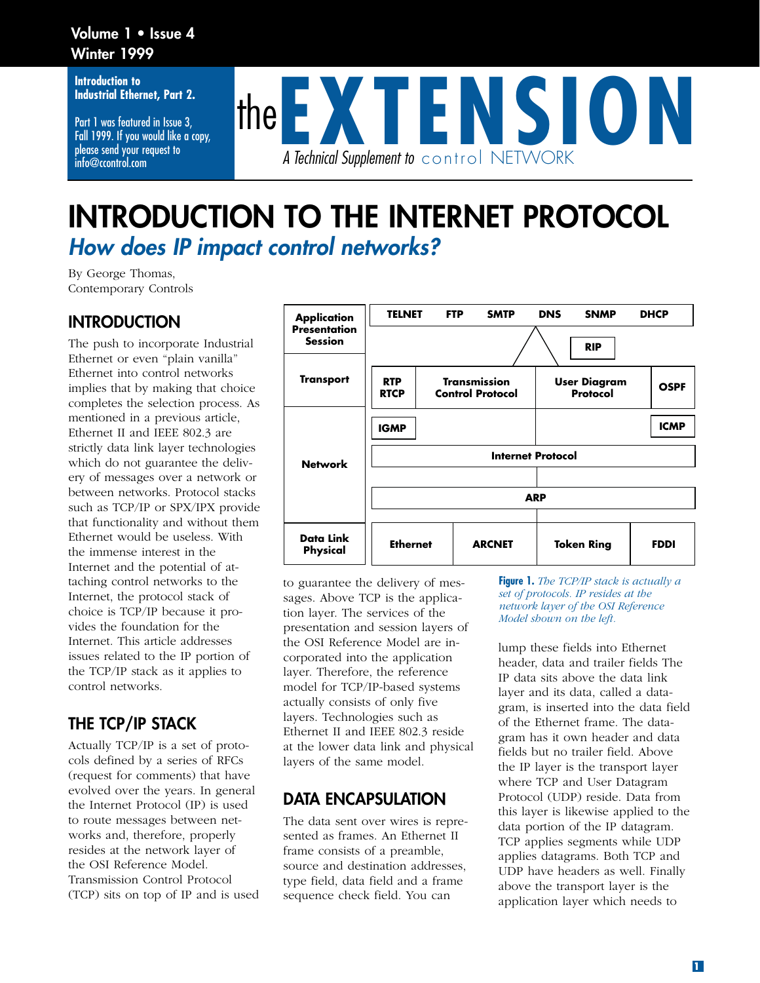#### **Volume 1 • Issue 4 Winter 1999**

**Introduction to Industrial Ethernet, Part 2.** 

Part 1 was featured in Issue 3, Fall 1999. If you would like a copy, please send your request to info@ccontrol.com



## **INTRODUCTION TO THE INTERNET PROTOCOL** *How does IP impact control networks?*

By George Thomas, Contemporary Controls

## **INTRODUCTION**

The push to incorporate Industrial Ethernet or even "plain vanilla" Ethernet into control networks implies that by making that choice completes the selection process. As mentioned in a previous article, Ethernet II and IEEE 802.3 are strictly data link layer technologies which do not guarantee the delivery of messages over a network or between networks. Protocol stacks such as TCP/IP or SPX/IPX provide that functionality and without them Ethernet would be useless. With the immense interest in the Internet and the potential of attaching control networks to the Internet, the protocol stack of choice is TCP/IP because it provides the foundation for the Internet. This article addresses issues related to the IP portion of the TCP/IP stack as it applies to control networks.

## **THE TCP/IP STACK**

Actually TCP/IP is a set of protocols defined by a series of RFCs (request for comments) that have evolved over the years. In general the Internet Protocol (IP) is used to route messages between networks and, therefore, properly resides at the network layer of the OSI Reference Model. Transmission Control Protocol (TCP) sits on top of IP and is used



to guarantee the delivery of messages. Above TCP is the application layer. The services of the presentation and session layers of the OSI Reference Model are incorporated into the application layer. Therefore, the reference model for TCP/IP-based systems actually consists of only five layers. Technologies such as Ethernet II and IEEE 802.3 reside at the lower data link and physical layers of the same model.

## **DATA ENCAPSULATION**

The data sent over wires is represented as frames. An Ethernet II frame consists of a preamble, source and destination addresses, type field, data field and a frame sequence check field. You can

**Figure 1.** *The TCP/IP stack is actually a set of protocols. IP resides at the network layer of the OSI Reference Model shown on the left.*

lump these fields into Ethernet header, data and trailer fields The IP data sits above the data link layer and its data, called a datagram, is inserted into the data field of the Ethernet frame. The datagram has it own header and data fields but no trailer field. Above the IP layer is the transport layer where TCP and User Datagram Protocol (UDP) reside. Data from this layer is likewise applied to the data portion of the IP datagram. TCP applies segments while UDP applies datagrams. Both TCP and UDP have headers as well. Finally above the transport layer is the application layer which needs to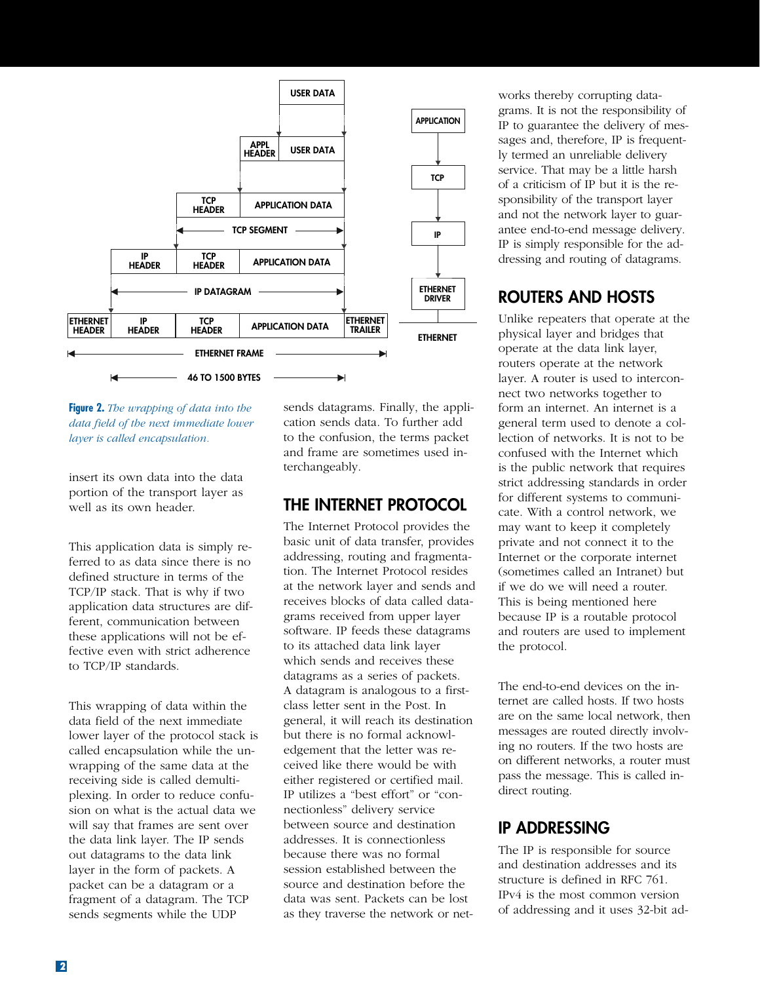

**Figure 2.** *The wrapping of data into the data field of the next immediate lower layer is called encapsulation.*

insert its own data into the data portion of the transport layer as well as its own header.

This application data is simply referred to as data since there is no defined structure in terms of the TCP/IP stack. That is why if two application data structures are different, communication between these applications will not be effective even with strict adherence to TCP/IP standards.

This wrapping of data within the data field of the next immediate lower layer of the protocol stack is called encapsulation while the unwrapping of the same data at the receiving side is called demultiplexing. In order to reduce confusion on what is the actual data we will say that frames are sent over the data link layer. The IP sends out datagrams to the data link layer in the form of packets. A packet can be a datagram or a fragment of a datagram. The TCP sends segments while the UDP

sends datagrams. Finally, the application sends data. To further add to the confusion, the terms packet and frame are sometimes used interchangeably.

## **THE INTERNET PROTOCOL**

The Internet Protocol provides the basic unit of data transfer, provides addressing, routing and fragmentation. The Internet Protocol resides at the network layer and sends and receives blocks of data called datagrams received from upper layer software. IP feeds these datagrams to its attached data link layer which sends and receives these datagrams as a series of packets. A datagram is analogous to a firstclass letter sent in the Post. In general, it will reach its destination but there is no formal acknowledgement that the letter was received like there would be with either registered or certified mail. IP utilizes a "best effort" or "connectionless" delivery service between source and destination addresses. It is connectionless because there was no formal session established between the source and destination before the data was sent. Packets can be lost as they traverse the network or net-

works thereby corrupting datagrams. It is not the responsibility of IP to guarantee the delivery of messages and, therefore, IP is frequently termed an unreliable delivery service. That may be a little harsh of a criticism of IP but it is the responsibility of the transport layer and not the network layer to guarantee end-to-end message delivery. IP is simply responsible for the addressing and routing of datagrams.

## **ROUTERS AND HOSTS**

Unlike repeaters that operate at the physical layer and bridges that operate at the data link layer, routers operate at the network layer. A router is used to interconnect two networks together to form an internet. An internet is a general term used to denote a collection of networks. It is not to be confused with the Internet which is the public network that requires strict addressing standards in order for different systems to communicate. With a control network, we may want to keep it completely private and not connect it to the Internet or the corporate internet (sometimes called an Intranet) but if we do we will need a router. This is being mentioned here because IP is a routable protocol and routers are used to implement the protocol.

The end-to-end devices on the internet are called hosts. If two hosts are on the same local network, then messages are routed directly involving no routers. If the two hosts are on different networks, a router must pass the message. This is called indirect routing.

## **IP ADDRESSING**

The IP is responsible for source and destination addresses and its structure is defined in RFC 761. IPv4 is the most common version of addressing and it uses 32-bit ad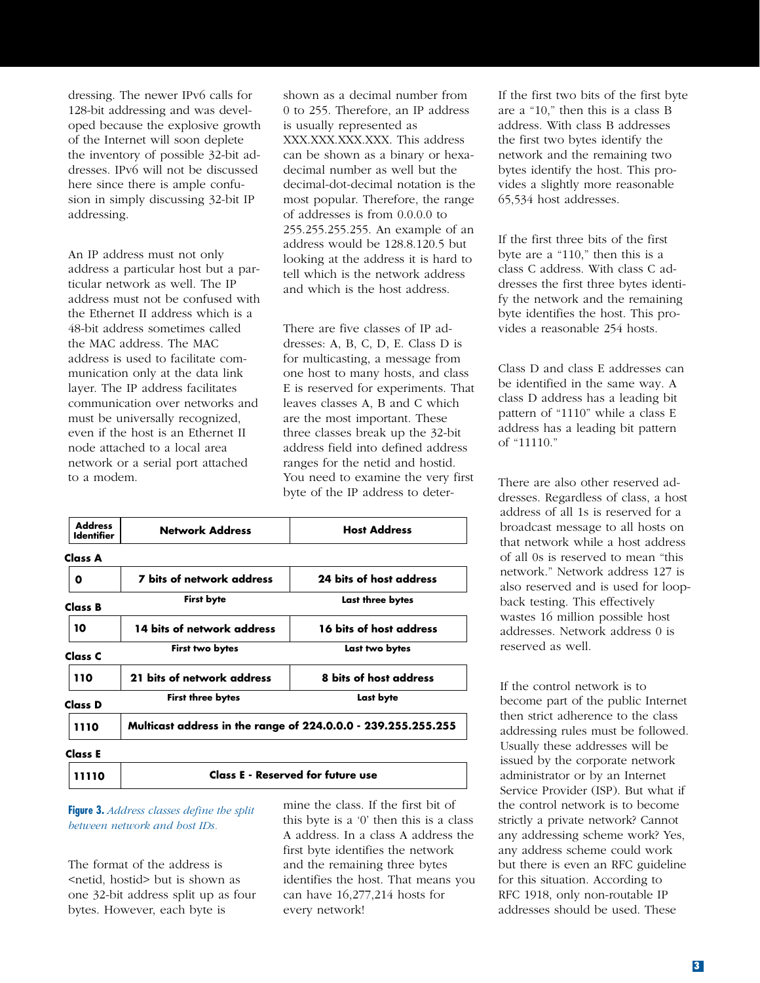dressing. The newer IPv6 calls for 128-bit addressing and was developed because the explosive growth of the Internet will soon deplete the inventory of possible 32-bit addresses. IPv6 will not be discussed here since there is ample confusion in simply discussing 32-bit IP addressing.

An IP address must not only address a particular host but a particular network as well. The IP address must not be confused with the Ethernet II address which is a 48-bit address sometimes called the MAC address. The MAC address is used to facilitate communication only at the data link layer. The IP address facilitates communication over networks and must be universally recognized, even if the host is an Ethernet II node attached to a local area network or a serial port attached to a modem.

**Address**

shown as a decimal number from 0 to 255. Therefore, an IP address is usually represented as XXX.XXX.XXX.XXX. This address can be shown as a binary or hexadecimal number as well but the decimal-dot-decimal notation is the most popular. Therefore, the range of addresses is from 0.0.0.0 to 255.255.255.255. An example of an address would be 128.8.120.5 but looking at the address it is hard to tell which is the network address and which is the host address.

There are five classes of IP addresses: A, B, C, D, E. Class D is for multicasting, a message from one host to many hosts, and class E is reserved for experiments. That leaves classes A, B and C which are the most important. These three classes break up the 32-bit address field into defined address ranges for the netid and hostid. You need to examine the very first byte of the IP address to deter-

| <b>Address</b><br><b>Identifier</b> | <b>Network Address</b>                                        | <b>Host Address</b>     |
|-------------------------------------|---------------------------------------------------------------|-------------------------|
| Class A                             |                                                               |                         |
| 0                                   | <b>7 bits of network address</b>                              | 24 bits of host address |
| Class B                             | <b>First byte</b>                                             | Last three bytes        |
| 10                                  | 14 bits of network address                                    | 16 bits of host address |
| Class C                             | First two bytes                                               | Last two bytes          |
| 110                                 | 21 bits of network address                                    | 8 bits of host address  |
| Class D                             | <b>First three bytes</b>                                      | Last byte               |
| 1110                                | Multicast address in the range of 224.0.0.0 - 239.255.255.255 |                         |
| Class E                             |                                                               |                         |
| 11110                               | Class E - Reserved for future use                             |                         |

**Figure 3.** *Address classes define the split between network and host IDs.*

The format of the address is <netid, hostid> but is shown as one 32-bit address split up as four bytes. However, each byte is

mine the class. If the first bit of this byte is a '0' then this is a class A address. In a class A address the first byte identifies the network and the remaining three bytes identifies the host. That means you can have 16,277,214 hosts for every network!

If the first two bits of the first byte are a "10," then this is a class B address. With class B addresses the first two bytes identify the network and the remaining two bytes identify the host. This provides a slightly more reasonable 65,534 host addresses.

If the first three bits of the first byte are a "110," then this is a class C address. With class C addresses the first three bytes identify the network and the remaining byte identifies the host. This provides a reasonable 254 hosts.

Class D and class E addresses can be identified in the same way. A class D address has a leading bit pattern of "1110" while a class E address has a leading bit pattern of "11110."

There are also other reserved addresses. Regardless of class, a host address of all 1s is reserved for a broadcast message to all hosts on that network while a host address of all 0s is reserved to mean "this network." Network address 127 is also reserved and is used for loopback testing. This effectively wastes 16 million possible host addresses. Network address 0 is reserved as well.

If the control network is to become part of the public Internet then strict adherence to the class addressing rules must be followed. Usually these addresses will be issued by the corporate network administrator or by an Internet Service Provider (ISP). But what if the control network is to become strictly a private network? Cannot any addressing scheme work? Yes, any address scheme could work but there is even an RFC guideline for this situation. According to RFC 1918, only non-routable IP addresses should be used. These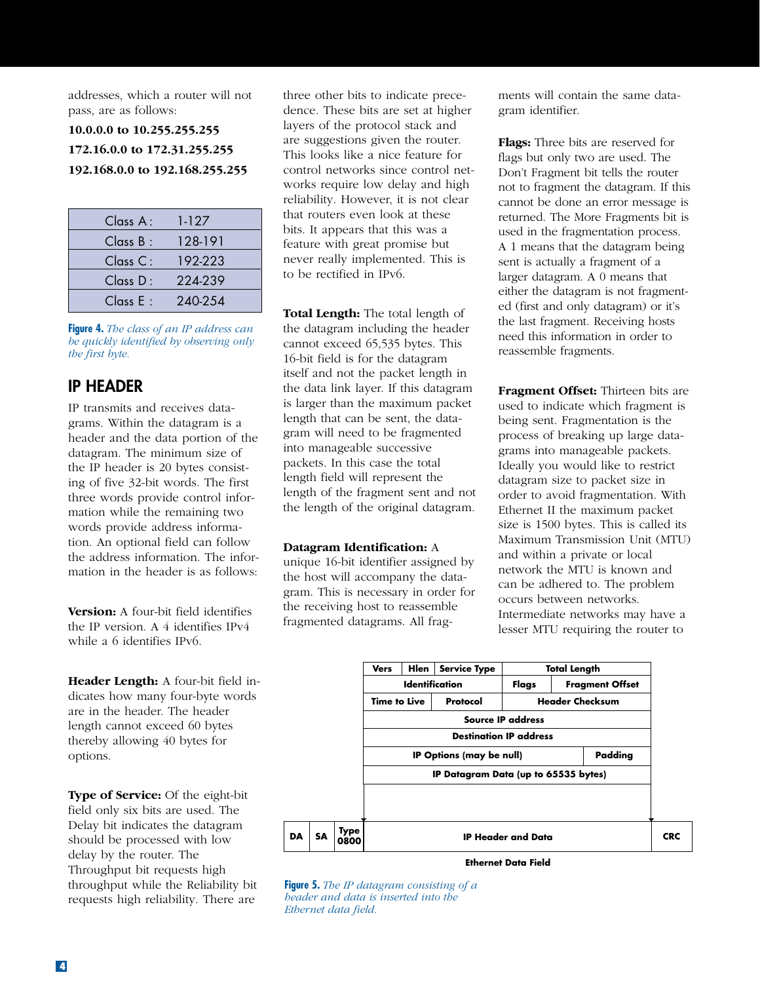addresses, which a router will not pass, are as follows:

**10.0.0.0 to 10.255.255.255 172.16.0.0 to 172.31.255.255 192.168.0.0 to 192.168.255.255**

| Class A: | 1-127   |
|----------|---------|
| Class B: | 128-191 |
| Class C: | 192-223 |
| Class D: | 224-239 |
| Class E: | 240-254 |

**Figure 4.** *The class of an IP address can be quickly identified by observing only the first byte.*

## **IP HEADER**

IP transmits and receives datagrams. Within the datagram is a header and the data portion of the datagram. The minimum size of the IP header is 20 bytes consisting of five 32-bit words. The first three words provide control information while the remaining two words provide address information. An optional field can follow the address information. The information in the header is as follows:

**Version:** A four-bit field identifies the IP version. A 4 identifies IPv4 while a 6 identifies IPv6.

**Header Length:** A four-bit field indicates how many four-byte words are in the header. The header length cannot exceed 60 bytes thereby allowing 40 bytes for options.

**Type of Service:** Of the eight-bit field only six bits are used. The Delay bit indicates the datagram should be processed with low delay by the router. The Throughput bit requests high throughput while the Reliability bit requests high reliability. There are

three other bits to indicate precedence. These bits are set at higher layers of the protocol stack and are suggestions given the router. This looks like a nice feature for control networks since control networks require low delay and high reliability. However, it is not clear that routers even look at these bits. It appears that this was a feature with great promise but never really implemented. This is to be rectified in IPv6.

**Total Length:** The total length of the datagram including the header cannot exceed 65,535 bytes. This 16-bit field is for the datagram itself and not the packet length in the data link layer. If this datagram is larger than the maximum packet length that can be sent, the datagram will need to be fragmented into manageable successive packets. In this case the total length field will represent the length of the fragment sent and not the length of the original datagram.

#### **Datagram Identification:** A

unique 16-bit identifier assigned by the host will accompany the datagram. This is necessary in order for the receiving host to reassemble fragmented datagrams. All frag-

ments will contain the same datagram identifier.

**Flags:** Three bits are reserved for flags but only two are used. The Don't Fragment bit tells the router not to fragment the datagram. If this cannot be done an error message is returned. The More Fragments bit is used in the fragmentation process. A 1 means that the datagram being sent is actually a fragment of a larger datagram. A 0 means that either the datagram is not fragmented (first and only datagram) or it's the last fragment. Receiving hosts need this information in order to reassemble fragments.

**Fragment Offset:** Thirteen bits are used to indicate which fragment is being sent. Fragmentation is the process of breaking up large datagrams into manageable packets. Ideally you would like to restrict datagram size to packet size in order to avoid fragmentation. With Ethernet II the maximum packet size is 1500 bytes. This is called its Maximum Transmission Unit (MTU) and within a private or local network the MTU is known and can be adhered to. The problem occurs between networks. Intermediate networks may have a lesser MTU requiring the router to



**Figure 5.** *The IP datagram consisting of a header and data is inserted into the Ethernet data field.*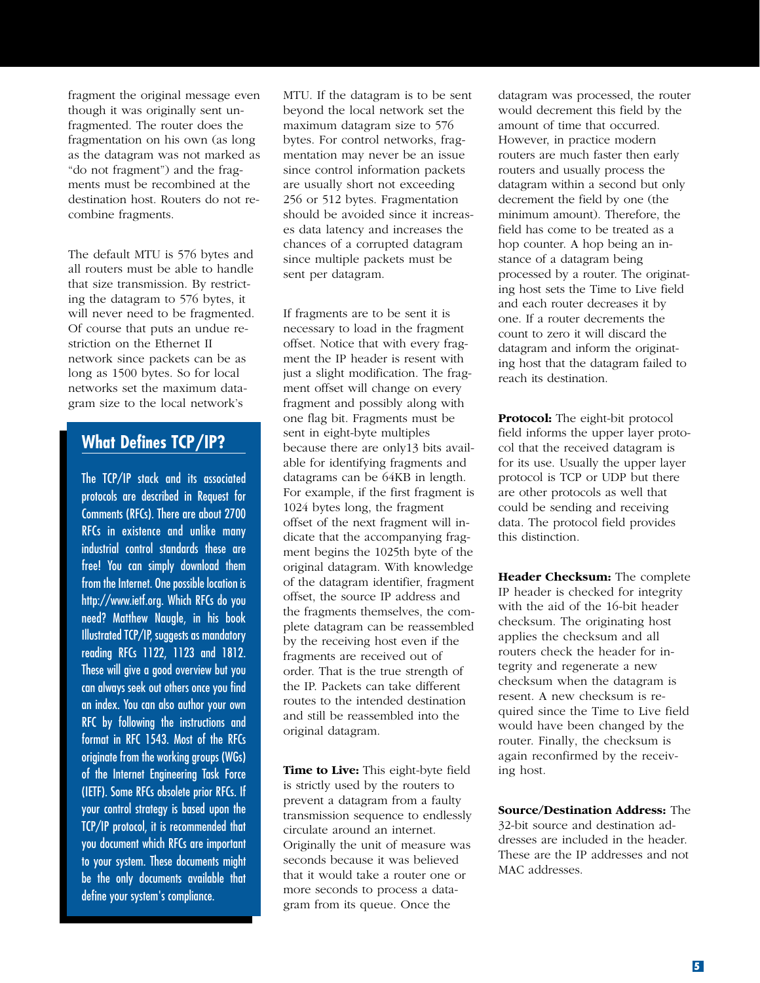fragment the original message even though it was originally sent unfragmented. The router does the fragmentation on his own (as long as the datagram was not marked as "do not fragment") and the fragments must be recombined at the destination host. Routers do not recombine fragments.

The default MTU is 576 bytes and all routers must be able to handle that size transmission. By restricting the datagram to 576 bytes, it will never need to be fragmented. Of course that puts an undue restriction on the Ethernet II network since packets can be as long as 1500 bytes. So for local networks set the maximum datagram size to the local network's

## **What Defines TCP/IP?**

The TCP/IP stack and its associated protocols are described in Request for Comments (RFCs). There are about 2700 RFCs in existence and unlike many industrial control standards these are free! You can simply download them from the Internet. One possible location is http://www.ietf.org. Which RFCs do you need? Matthew Naugle, in his book Illustrated TCP/IP, suggests as mandatory reading RFCs 1122, 1123 and 1812. These will give a good overview but you can always seek out others once you find an index. You can also author your own RFC by following the instructions and format in RFC 1543. Most of the RFCs originate from the working groups (WGs) of the Internet Engineering Task Force (IETF). Some RFCs obsolete prior RFCs. If your control strategy is based upon the TCP/IP protocol, it is recommended that you document which RFCs are important to your system. These documents might be the only documents available that define your system's compliance.

MTU. If the datagram is to be sent beyond the local network set the maximum datagram size to 576 bytes. For control networks, fragmentation may never be an issue since control information packets are usually short not exceeding 256 or 512 bytes. Fragmentation should be avoided since it increases data latency and increases the chances of a corrupted datagram since multiple packets must be sent per datagram.

If fragments are to be sent it is necessary to load in the fragment offset. Notice that with every fragment the IP header is resent with just a slight modification. The fragment offset will change on every fragment and possibly along with one flag bit. Fragments must be sent in eight-byte multiples because there are only13 bits available for identifying fragments and datagrams can be 64KB in length. For example, if the first fragment is 1024 bytes long, the fragment offset of the next fragment will indicate that the accompanying fragment begins the 1025th byte of the original datagram. With knowledge of the datagram identifier, fragment offset, the source IP address and the fragments themselves, the complete datagram can be reassembled by the receiving host even if the fragments are received out of order. That is the true strength of the IP. Packets can take different routes to the intended destination and still be reassembled into the original datagram.

**Time to Live:** This eight-byte field is strictly used by the routers to prevent a datagram from a faulty transmission sequence to endlessly circulate around an internet. Originally the unit of measure was seconds because it was believed that it would take a router one or more seconds to process a datagram from its queue. Once the

datagram was processed, the router would decrement this field by the amount of time that occurred. However, in practice modern routers are much faster then early routers and usually process the datagram within a second but only decrement the field by one (the minimum amount). Therefore, the field has come to be treated as a hop counter. A hop being an instance of a datagram being processed by a router. The originating host sets the Time to Live field and each router decreases it by one. If a router decrements the count to zero it will discard the datagram and inform the originating host that the datagram failed to reach its destination.

**Protocol:** The eight-bit protocol field informs the upper layer protocol that the received datagram is for its use. Usually the upper layer protocol is TCP or UDP but there are other protocols as well that could be sending and receiving data. The protocol field provides this distinction.

**Header Checksum:** The complete IP header is checked for integrity with the aid of the 16-bit header checksum. The originating host applies the checksum and all routers check the header for integrity and regenerate a new checksum when the datagram is resent. A new checksum is required since the Time to Live field would have been changed by the router. Finally, the checksum is again reconfirmed by the receiving host.

**Source/Destination Address:** The 32-bit source and destination addresses are included in the header. These are the IP addresses and not MAC addresses.